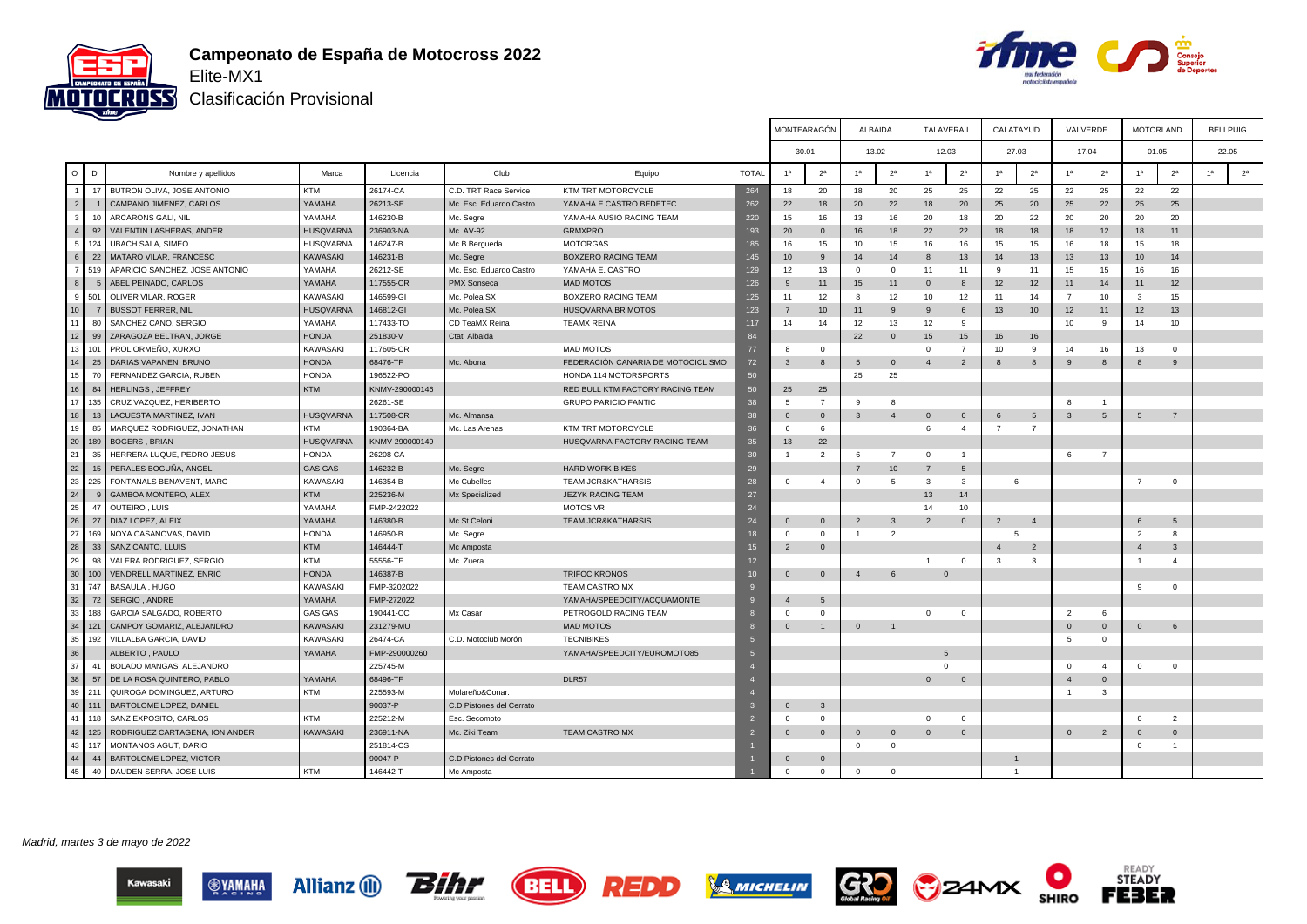



Clasificación Provisional

|                 |                |                                |                  |                |                          |                                    |              | MONTEARAGÓN             |                 |                | ALBAIDA        | TALAVERA I     |                 | CALATAYUD      |                | VALVERDE       |                | <b>MOTORLAND</b> |                |                | <b>BELLPUIG</b> |
|-----------------|----------------|--------------------------------|------------------|----------------|--------------------------|------------------------------------|--------------|-------------------------|-----------------|----------------|----------------|----------------|-----------------|----------------|----------------|----------------|----------------|------------------|----------------|----------------|-----------------|
|                 |                |                                |                  |                |                          |                                    |              |                         | 30.01           |                | 13.02          | 12.03          |                 | 27.03          |                |                | 17.04          | 01.05            |                |                | 22.05           |
| $\circ$         | D              | Nombre y apellidos             | Marca            | Licencia       | Club                     | Equipo                             | <b>TOTAL</b> | 1 <sup>a</sup>          | 2 <sup>a</sup>  |                | 2 <sup>a</sup> | 1 <sup>a</sup> | 2 <sup>a</sup>  | 1 <sup>a</sup> | 2 <sup>a</sup> | 1 <sup>a</sup> | 2 <sup>a</sup> | 1 <sup>a</sup>   | 2 <sup>a</sup> | 1 <sup>a</sup> | 2 <sup>a</sup>  |
|                 | 17             | BUTRON OLIVA, JOSE ANTONIO     | <b>KTM</b>       | 26174-CA       | C.D. TRT Race Service    | KTM TRT MOTORCYCLE                 | 264          | 18                      | 20              | 18             | 20             | 25             | 25              | 22             | 25             | 22             | 25             | 22               | 22             |                |                 |
| 2               |                | CAMPANO JIMENEZ, CARLOS        | YAMAHA           | 26213-SE       | Mc. Esc. Eduardo Castro  | YAMAHA E.CASTRO BEDETEC            | 262          | 22                      | 18              | 20             | 22             | 18             | 20              | 25             | 20             | 25             | 22             | 25               | 25             |                |                 |
| 3 <sup>1</sup>  | 10             | ARCARONS GALI, NIL             | YAMAHA           | 146230-B       | Mc. Segre                | YAMAHA AUSIO RACING TEAM           | 220          | 15                      | 16              | 13             | 16             | 20             | 18              | 20             | 22             | 20             | 20             | 20               | 20             |                |                 |
| 4 <sup>1</sup>  | 92             | VALENTIN LASHERAS, ANDER       | <b>HUSQVARNA</b> | 236903-NA      | Mc. AV-92                | <b>GRMXPRO</b>                     | 193          | 20                      | $\mathbf 0$     | 16             | 18             | 22             | 22              | 18             | 18             | 18             | 12             | 18               | 11             |                |                 |
| 5               | 124            | <b>UBACH SALA, SIMEO</b>       | <b>HUSQVARNA</b> | 146247-B       | Mc B.Bergueda            | <b>MOTORGAS</b>                    | 185          | 16                      | 15              | 10             | 15             | 16             | 16              | 15             | 15             | 16             | 18             | 15               | 18             |                |                 |
| 6 <sup>1</sup>  | 22             | MATARO VILAR, FRANCESC         | KAWASAKI         | 146231-B       | Mc. Segre                | BOXZERO RACING TEAM                | 145          | 10 <sup>10</sup>        | 9               | 14             | 14             | 8              | 13              | 14             | 13             | 13             | 13             | 10               | 14             |                |                 |
|                 | 7 519          | APARICIO SANCHEZ, JOSE ANTONIO | YAMAHA           | 26212-SE       | Mc. Esc. Eduardo Castro  | YAMAHA E. CASTRO                   | 129          | 12                      | 13              | $\Omega$       | $\Omega$       | 11             | 11              | <b>q</b>       | 11             | 15             | 15             | 16               | 16             |                |                 |
| 8               | $\epsilon$     | ABEL PEINADO, CARLOS           | YAMAHA           | 117555-CR      | <b>PMX Sonseca</b>       | <b>MAD MOTOS</b>                   | 126          | 9                       | 11              | 15             | 11             | $\mathbf 0$    | 8               | 12             | 12             | 11             | 14             | 11               | 12             |                |                 |
|                 | 9 501          | OLIVER VILAR, ROGER            | KAWASAKI         | 146599-GI      | Mc. Polea SX             | BOXZERO RACING TEAM                | 125          | 11                      | 12              | 8              | 12             | 10             | 12              | 11             | 14             | $\overline{7}$ | 10             | 3                | 15             |                |                 |
| 10 <sup>1</sup> |                | <b>BUSSOT FERRER, NIL</b>      | <b>HUSQVARNA</b> | 146812-GI      | Mc. Polea SX             | HUSQVARNA BR MOTOS                 | 123          | $\overline{7}$          | 10 <sup>1</sup> | 11             | 9              | 9              | 6               | 13             | 10             | 12             | 11             | 12               | 13             |                |                 |
| 11              | 80             | SANCHEZ CANO, SERGIO           | YAMAHA           | 117433-TO      | CD TeaMX Reina           | <b>TEAMX REINA</b>                 | 117          | 14                      | 14              | 12             | 13             | 12             | -9              |                |                | 10             | -9             | 14               | 10             |                |                 |
| 12              | 99             | ZARAGOZA BELTRAN, JORGE        | <b>HONDA</b>     | 251830-V       | Ctat. Albaida            |                                    | 84           |                         |                 | 22             | $\mathbf{0}$   | 15             | 15              | 16             | 16             |                |                |                  |                |                |                 |
| 13              | 101            | PROL ORMEÑO, XURXO             | <b>KAWASAKI</b>  | 117605-CR      |                          | MAD MOTOS                          | 77           | 8                       | $\mathbf 0$     |                |                |                | -7              | 10             | 9              | 14             | 16             | 13               | $\Omega$       |                |                 |
| 14              | 25             | DARIAS VAPANEN, BRUNO          | <b>HONDA</b>     | 68476-TF       | Mc. Abona                | FEDERACIÓN CANARIA DE MOTOCICLISMO | 72           | $\overline{\mathbf{3}}$ | 8               | 5              | $\mathbf{0}$   | $\overline{4}$ | $\overline{2}$  | -8             | 8              | -9             | 8              | 8                | 9              |                |                 |
| 15              | 70             | FERNANDEZ GARCIA, RUBEN        | <b>HONDA</b>     | 196522-PO      |                          | HONDA 114 MOTORSPORTS              | 50           |                         |                 | 25             | 25             |                |                 |                |                |                |                |                  |                |                |                 |
| 16              | 84             | HERLINGS, JEFFREY              | <b>KTM</b>       | KNMV-290000146 |                          | RED BULL KTM FACTORY RACING TEAM   | 50           | 25                      | 25              |                |                |                |                 |                |                |                |                |                  |                |                |                 |
| 17              | 135            | CRUZ VAZQUEZ, HERIBERTO        |                  | 26261-SE       |                          | <b>GRUPO PARICIO FANTIC</b>        | 38           | 5                       | $\overline{7}$  |                | 8              |                |                 |                |                | 8              |                |                  |                |                |                 |
| 18              | 13             | LACUESTA MARTINEZ, IVAN        | <b>HUSQVARNA</b> | 117508-CR      | Mc. Almansa              |                                    | 38           | $\mathbf{0}$            | $\overline{0}$  | 3              | $\overline{4}$ | $\mathbf 0$    | $\mathbf 0$     | 6              | 5              | $\mathbf{3}$   | 5              | 5                | $\overline{7}$ |                |                 |
| 19              | 85             | MARQUEZ RODRIGUEZ, JONATHAN    | <b>KTM</b>       | 190364-BA      | Mc. Las Arenas           | KTM TRT MOTORCYCLE                 | 36           | 6                       | 6               |                |                | 6              | $\overline{4}$  |                | $\overline{7}$ |                |                |                  |                |                |                 |
| 20              | 189            | <b>BOGERS, BRIAN</b>           | <b>HUSQVARNA</b> | KNMV-290000149 |                          | HUSQVARNA FACTORY RACING TEAM      | 35           | 13                      | 22              |                |                |                |                 |                |                |                |                |                  |                |                |                 |
| 21              | 35             | HERRERA LUQUE, PEDRO JESUS     | <b>HONDA</b>     | 26208-CA       |                          |                                    | 30           |                         | 2               |                | $\overline{7}$ |                | $\overline{1}$  |                |                | 6              | $\overline{7}$ |                  |                |                |                 |
| 22              | 15             | PERALES BOGUÑA, ANGEL          | <b>GAS GAS</b>   | 146232-B       | Mc. Segre                | <b>HARD WORK BIKES</b>             | 29           |                         |                 |                | 10             | 7              | $5\overline{5}$ |                |                |                |                |                  |                |                |                 |
| 23              | 225            | FONTANALS BENAVENT, MARC       | KAWASAKI         | 146354-B       | Mc Cubelles              | <b>TEAM JCR&amp;KATHARSIS</b>      | 28           | $\mathbf 0$             | $\overline{4}$  | 0              | 5              | 3              | $\mathbf{3}$    | 6              |                |                |                | -7               | $\circ$        |                |                 |
| 24              | $\mathfrak{c}$ | GAMBOA MONTERO, ALEX           | <b>KTM</b>       | 225236-M       | Mx Specialized           | JEZYK RACING TEAM                  | 27           |                         |                 |                |                | 13             | 14              |                |                |                |                |                  |                |                |                 |
| 25              | 47             | OUTEIRO, LUIS                  | YAMAHA           | FMP-2422022    |                          | MOTOS VR                           | 24           |                         |                 |                |                | 14             | 10              |                |                |                |                |                  |                |                |                 |
| 26              | 27             | DIAZ LOPEZ, ALEIX              | YAMAHA           | 146380-B       | Mc St.Celoni             | <b>TEAM JCR&amp;KATHARSIS</b>      | 24           | $\overline{0}$          | $\mathbf{0}$    | $\overline{2}$ | 3              | $\overline{2}$ | $\mathbb O$     | $\overline{2}$ | $\overline{4}$ |                |                | 6                | 5              |                |                 |
| 27              | 169            | NOYA CASANOVAS, DAVID          | <b>HONDA</b>     | 146950-B       | Mc. Segre                |                                    | 18           | $\Omega$                | $\mathbf{0}$    |                | $\overline{2}$ |                |                 | 5              |                |                |                | $\overline{2}$   | 8              |                |                 |
| 28              | 33             | SANZ CANTO, LLUIS              | KTM              | 146444-T       | Mc Amposta               |                                    | 15           | $\overline{2}$          | $\mathbf{0}$    |                |                |                |                 | $\mathbf{A}$   | $\overline{2}$ |                |                | $\overline{4}$   | $\mathbf{3}$   |                |                 |
| 29              | 98             | VALERA RODRIGUEZ, SERGIO       | <b>KTM</b>       | 55556-TE       | Mc. Zuera                |                                    | 12           |                         |                 |                |                | $\mathbf{1}$   | $\mathbf 0$     | $\mathbf{3}$   | 3              |                |                | $\overline{1}$   | $\overline{4}$ |                |                 |
|                 | 30 100         | VENDRELL MARTINEZ, ENRIC       | <b>HONDA</b>     | 146387-B       |                          | <b>TRIFOC KRONOS</b>               | 10           | $\overline{0}$          | $\mathbf{0}$    | $\overline{4}$ | 6              | $\Omega$       |                 |                |                |                |                |                  |                |                |                 |
| 31              | 747            | BASAULA, HUGO                  | KAWASAKI         | FMP-3202022    |                          | TEAM CASTRO MX                     |              |                         |                 |                |                |                |                 |                |                |                |                | 9                | $\Omega$       |                |                 |
| 32              | 72             | SERGIO, ANDRE                  | YAMAHA           | FMP-272022     |                          | YAMAHA/SPEEDCITY/ACQUAMONTE        |              | $\overline{4}$          | 5               |                |                |                |                 |                |                |                |                |                  |                |                |                 |
| 33              | 188            | GARCIA SALGADO, ROBERTO        | <b>GAS GAS</b>   | 190441-CC      | Mx Casar                 | PETROGOLD RACING TEAM              |              | $\Omega$                | $\mathbf{0}$    |                |                | $\Omega$       | $\Omega$        |                |                | 2              | 6              |                  |                |                |                 |
| 34              | 121            | CAMPOY GOMARIZ, ALEJANDRO      | KAWASAKI         | 231279-MU      |                          | <b>MAD MOTOS</b>                   |              | $\Omega$                | $\overline{1}$  | $\mathbf{0}$   | $\overline{1}$ |                |                 |                |                | $\overline{0}$ | $\mathbf{0}$   | $\overline{0}$   | 6              |                |                 |
| 35              | 192            | VILLALBA GARCIA, DAVID         | <b>KAWASAKI</b>  | 26474-CA       | C.D. Motoclub Morón      | <b>TECNIBIKES</b>                  |              |                         |                 |                |                |                |                 |                |                | 5              | $\mathbf{0}$   |                  |                |                |                 |
| 36              |                | ALBERTO, PAULO                 | YAMAHA           | FMP-290000260  |                          | YAMAHA/SPEEDCITY/EUROMOTO85        | 5            |                         |                 |                |                | 5              |                 |                |                |                |                |                  |                |                |                 |
| 37              | 41             | BOLADO MANGAS, ALEJANDRO       |                  | 225745-M       |                          |                                    |              |                         |                 |                |                | $\Omega$       |                 |                |                | $\mathbf{0}$   | $\overline{4}$ | $\mathbf 0$      | $\Omega$       |                |                 |
| 38              | 57             | DE LA ROSA QUINTERO, PABLO     | YAMAHA           | 68496-TF       |                          | DLR57                              |              |                         |                 |                |                | $\Omega$       | $\overline{0}$  |                |                | $\overline{4}$ | $\mathbf{0}$   |                  |                |                |                 |
| 39              | 211            | QUIROGA DOMINGUEZ, ARTURO      | <b>KTM</b>       | 225593-M       | Molareño&Conar.          |                                    |              |                         |                 |                |                |                |                 |                |                | -1             | 3              |                  |                |                |                 |
|                 | 40 111         | BARTOLOME LOPEZ, DANIEL        |                  | 90037-P        | C.D Pistones del Cerrato |                                    |              | $\Omega$                | $\mathbf{3}$    |                |                |                |                 |                |                |                |                |                  |                |                |                 |
| 41              | 118            | SANZ EXPOSITO, CARLOS          | <b>KTM</b>       | 225212-M       | Esc. Secomoto            |                                    |              | $\Omega$                | $\Omega$        |                |                | $\Omega$       | $\Omega$        |                |                |                |                | $\Omega$         | $\overline{2}$ |                |                 |
|                 | 42 125         | RODRIGUEZ CARTAGENA, ION ANDER | KAWASAKI         | 236911-NA      | Mc. Ziki Team            | <b>TEAM CASTRO MX</b>              |              | $\mathbf{0}$            | $\mathbf{0}$    | $\mathbf{0}$   | $\mathbf{0}$   | $\mathbf{0}$   | $\mathbf{0}$    |                |                | $\Omega$       | $\overline{2}$ | $\Omega$         | $\mathbf{0}$   |                |                 |
| 43              | 117            | MONTANOS AGUT, DARIO           |                  | 251814-CS      |                          |                                    |              |                         |                 | $\Omega$       | $\Omega$       |                |                 |                |                |                |                | $\Omega$         | $\overline{1}$ |                |                 |
| 44              | 44             | BARTOLOME LOPEZ, VICTOR        |                  | 90047-P        | C.D Pistones del Cerrato |                                    |              | $\overline{0}$          | $\mathbf{0}$    |                |                |                |                 | $\mathbf{1}$   |                |                |                |                  |                |                |                 |
| 45              | 40             | DAUDEN SERRA, JOSE LUIS        | <b>KTM</b>       | 146442-T       | Mc Amposta               |                                    |              | $\Omega$                | $\mathbf{0}$    | $\Omega$       | $\mathbf{0}$   |                |                 | $\overline{1}$ |                |                |                |                  |                |                |                 |
|                 |                |                                |                  |                |                          |                                    |              |                         |                 |                |                |                |                 |                |                |                |                |                  |                |                |                 |

Madrid, martes 3 de mayo de 2022













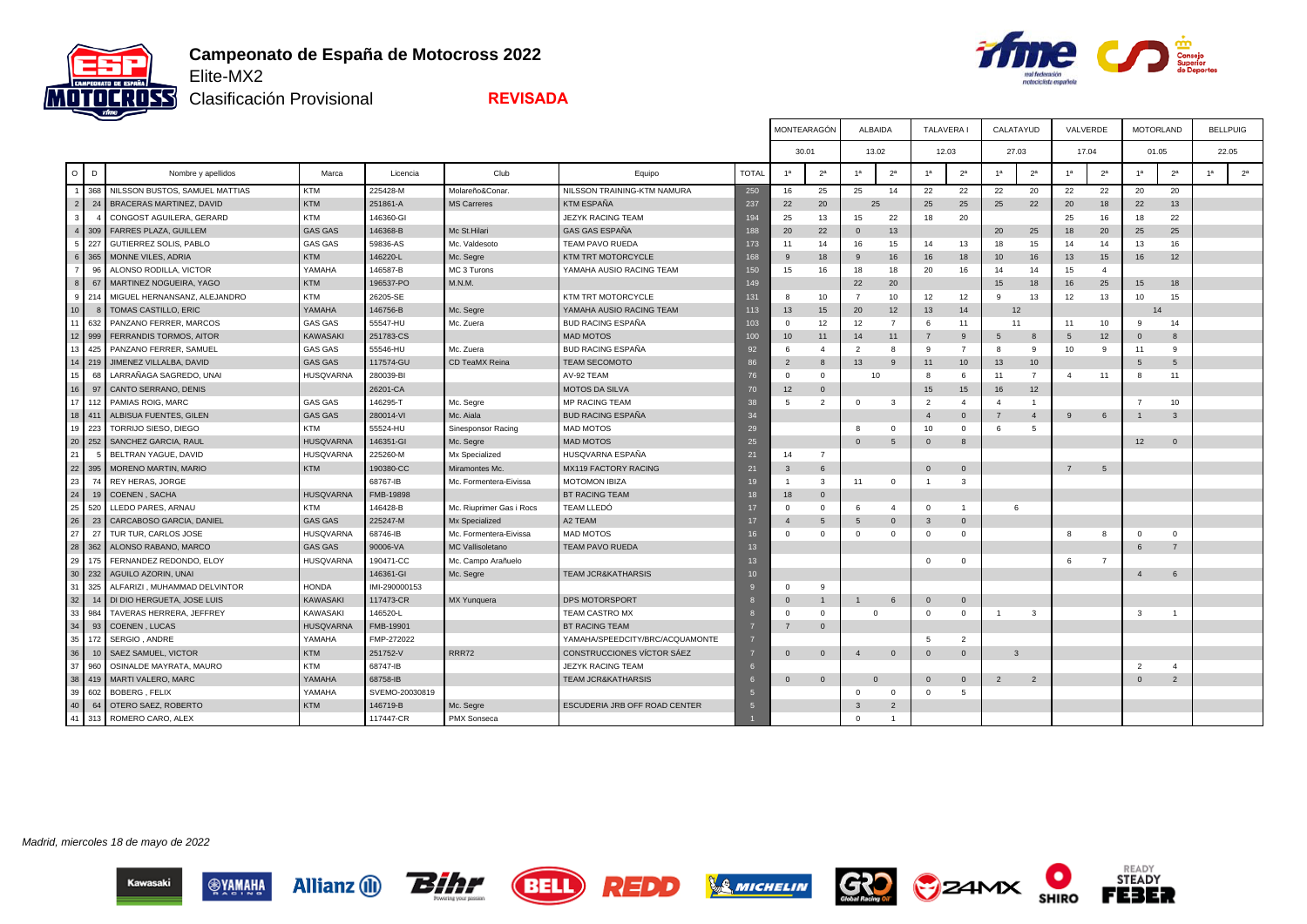

**Allianz** (1)

**SAWWHY** 

**Bilir** 



READY<br>STEADY

FEBER

 $\bullet$ 

**SHIRO** 

**B**ZAMX

 $G<sub>2</sub>$ 

**SMICHELIN** 

Clasificación Provisional

**REVISADA**

BELL

REDD

|                 |        |                                |                  |                |                          |                                 |                 |                         | MONTEARAGÓN    | <b>ALBAIDA</b> |                | <b>TALAVERA1</b> |                | CALATAYUD      |                | VALVERDE       |                | <b>MOTORLAND</b> |                | <b>BELLPUIG</b> |                |
|-----------------|--------|--------------------------------|------------------|----------------|--------------------------|---------------------------------|-----------------|-------------------------|----------------|----------------|----------------|------------------|----------------|----------------|----------------|----------------|----------------|------------------|----------------|-----------------|----------------|
|                 |        |                                |                  |                |                          |                                 |                 |                         | 30.01          |                | 13.02          |                  | 12.03          | 27.03          |                | 17.04          |                | 01.05            |                | 22.05           |                |
| $\circ$         | D      | Nombre y apellidos             | Marca            | Licencia       | Club                     | Equipo                          | <b>TOTAL</b>    |                         | 2 <sup>a</sup> | 1a             | 2 <sup>a</sup> | 1 <sup>a</sup>   | 2 <sup>a</sup> | 1 <sup>a</sup> | 2 <sup>a</sup> | 1 <sup>a</sup> | 2 <sup>a</sup> |                  | 2 <sup>a</sup> | 1 <sup>a</sup>  | 2 <sup>a</sup> |
| $\overline{1}$  | 368    | NILSSON BUSTOS, SAMUEL MATTIAS | <b>KTM</b>       | 225428-M       | Molareño&Conar.          | NILSSON TRAINING-KTM NAMURA     | 250             | 16                      | 25             | 25             | 14             | 22               | 22             | 22             | 20             | 22             | 22             | 20               | 20             |                 |                |
| 2               | 24     | BRACERAS MARTINEZ, DAVID       | <b>KTM</b>       | 251861-A       | <b>MS Carreres</b>       | KTM ESPAÑA                      | 237             | 22                      | 20             | 25             |                | 25               | 25             | 25             | 22             | 20             | 18             | 22               | 13             |                 |                |
| 3 <sup>1</sup>  |        | CONGOST AGUILERA, GERARD       | <b>KTM</b>       | 146360-GI      |                          | JEZYK RACING TEAM               | 194             | 25                      | 13             | 15             | 22             | 18               | 20             |                |                | 25             | 16             | 18               | 22             |                 |                |
|                 | 4 309  | <b>FARRES PLAZA, GUILLEM</b>   | <b>GAS GAS</b>   | 146368-B       | Mc St.Hilari             | GAS GAS ESPAÑA                  | 188             | 20                      | 22             | $\Omega$       | 13             |                  |                | 20             | 25             | 18             | 20             | 25               | 25             |                 |                |
|                 | 5 227  | GUTIERREZ SOLIS, PABLO         | <b>GAS GAS</b>   | 59836-AS       | Mc. Valdesoto            | TEAM PAVO RUEDA                 | 173             | 11                      | 14             | 16             | 15             | 14               | 13             | 18             | 15             | 14             | 14             | 13               | 16             |                 |                |
|                 | 6 365  | MONNE VILES, ADRIA             | <b>KTM</b>       | 146220-L       | Mc. Segre                | KTM TRT MOTORCYCLE              | 168             | 9                       | 18             | 9              | 16             | 16               | 18             | 10             | 16             | 13             | 15             | 16               | 12             |                 |                |
|                 | 96     | ALONSO RODILLA, VICTOR         | YAMAHA           | 146587-B       | MC 3 Turons              | YAMAHA AUSIO RACING TEAM        | 150             | 15                      | 16             | 18             | 18             | 20               | 16             | 14             | 14             | 15             | $\overline{4}$ |                  |                |                 |                |
| 8               | 67     | MARTINEZ NOGUEIRA, YAGO        | <b>KTM</b>       | 196537-PO      | M.N.M.                   |                                 | 149             |                         |                | 22             | 20             |                  |                | 15             | 18             | 16             | 25             | 15               | 18             |                 |                |
| -91             | 214    | MIGUEL HERNANSANZ, ALEJANDRO   | KTM              | 26205-SE       |                          | KTM TRT MOTORCYCLE              | 131             |                         | 10             |                | 10             | 12               | 12             |                | 13             | 12             | 13             | 10               | 15             |                 |                |
| 10 <sup>1</sup> |        | TOMAS CASTILLO, ERIC           | YAMAHA           | 146756-B       | Mc. Segre                | YAMAHA AUSIO RACING TEAM        | 113             | 13                      | 15             | 20             | 12             | 13               | 14             |                | 12             |                |                | 14               |                |                 |                |
|                 | 11 632 | PANZANO FERRER, MARCOS         | GAS GAS          | 55547-HU       | Mc. Zuera                | <b>BUD RACING ESPAÑA</b>        | 103             | $\Omega$                | 12             | 12             | $\overline{7}$ | 6                | 11             | 11             |                | 11             | 10             | 9                | 14             |                 |                |
|                 | 12 999 | FERRANDIS TORMOS, AITOR        | KAWASAKI         | 251783-CS      |                          | <b>MAD MOTOS</b>                | 100             | 10                      | 11             | 14             | 11             |                  | 9              | 5              | 8              | 5              | 12             | $\Omega$         | 8              |                 |                |
| 13              | 425    | PANZANO FERRER, SAMUEL         | <b>GAS GAS</b>   | 55546-HU       | Mc. Zuera                | <b>BUD RACING ESPAÑA</b>        | 92              | 6                       | $\overline{a}$ | $\overline{2}$ | 8              | 9                | $\overline{7}$ | 8              | 9              | 10             | -9             | 11               | -9             |                 |                |
|                 | 14 219 | JIMENEZ VILLALBA, DAVID        | <b>GAS GAS</b>   | 117574-GU      | CD TeaMX Reina           | TEAM SECOMOTO                   | 86              | $\overline{2}$          | 8              | 13             | 9              | 11               | 10             | 13             | 10             |                |                | 5                | 5              |                 |                |
| 15              | 68     | LARRAÑAGA SAGREDO, UNAI        | <b>HUSQVARNA</b> | 280039-BI      |                          | AV-92 TEAM                      | 76              | $\Omega$                | $\Omega$       | 10             |                | 8                | -6             | 11             | $\overline{7}$ | $\overline{4}$ | 11             | 8                | 11             |                 |                |
| 16 <sup>1</sup> | 97     | CANTO SERRANO, DENIS           |                  | 26201-CA       |                          | <b>MOTOS DA SILVA</b>           | 70              | 12                      | $\mathbf{0}$   |                |                | 15               | 15             | 16             | 12             |                |                |                  |                |                 |                |
| 17              | 112    | PAMIAS ROIG, MARC              | GAS GAS          | 146295-T       | Mc. Segre                | MP RACING TEAM                  | 38              | -5                      | 2              | $\mathbf{O}$   | $\mathbf{3}$   | $\overline{2}$   | $\overline{4}$ | $\mathbf{4}$   | $\overline{1}$ |                |                |                  | 10             |                 |                |
|                 | 18 411 | ALBISUA FUENTES, GILEN         | <b>GAS GAS</b>   | 280014-VI      | Mc. Aiala                | <b>BUD RACING ESPAÑA</b>        | 34              |                         |                |                |                |                  | $\mathbf{0}$   | $\overline{7}$ | $\overline{4}$ | 9              | 6              |                  | $\overline{3}$ |                 |                |
|                 | 19 223 | TORRIJO SIESO, DIEGO           | <b>KTM</b>       | 55524-HU       | Sinesponsor Racing       | <b>MAD MOTOS</b>                | 29              |                         |                | 8              | $^{\circ}$     | 10               | $\Omega$       | 6              | 5              |                |                |                  |                |                 |                |
|                 | 20 252 | SANCHEZ GARCIA, RAUL           | <b>HUSQVARNA</b> | 146351-GI      | Mc. Segre                | <b>MAD MOTOS</b>                | 25              |                         |                | $\mathbf 0$    | 5              | $\mathbf{0}$     | 8              |                |                |                |                | 12               | $\mathbf{0}$   |                 |                |
| 21              |        | BELTRAN YAGUE, DAVID           | <b>HUSQVARNA</b> | 225260-M       | Mx Specialized           | HUSQVARNA ESPAÑA                | 21              | 14                      | $\overline{7}$ |                |                |                  |                |                |                |                |                |                  |                |                 |                |
|                 | 22 395 | MORENO MARTIN, MARIO           | <b>KTM</b>       | 190380-CC      | Miramontes Mc.           | <b>MX119 FACTORY RACING</b>     | 21              | $\overline{\mathbf{3}}$ | 6              |                |                | $\mathbf{0}$     | $\mathbf{0}$   |                |                | $\overline{7}$ | 5              |                  |                |                 |                |
| 23              | 74     | REY HERAS, JORGE               |                  | 68767-IB       | Mc. Formentera-Eivissa   | <b>MOTOMON IBIZA</b>            | 19              |                         | 3              | 11             | $^{\circ}$     | $\mathbf{1}$     | 3              |                |                |                |                |                  |                |                 |                |
| 24              | 19     | COENEN, SACHA                  | <b>HUSQVARNA</b> | FMB-19898      |                          | BT RACING TEAM                  | 18              | 18                      | $\mathbf{0}$   |                |                |                  |                |                |                |                |                |                  |                |                 |                |
| 25              | 520    | LLEDO PARES, ARNAU             | <b>KTM</b>       | 146428-B       | Mc. Riuprimer Gas i Rocs | <b>TEAM LLEDÓ</b>               | 17              | $\Omega$                | $\Omega$       | 6              | $\overline{4}$ | $^{\circ}$       | $\overline{1}$ | 6              |                |                |                |                  |                |                 |                |
| 26              | 23     | CARCABOSO GARCIA, DANIEL       | <b>GAS GAS</b>   | 225247-M       | Mx Specialized           | A2 TEAM                         | 17              | $\overline{4}$          | $\overline{5}$ | 5              | $\overline{0}$ | $\mathbf{3}$     | $\mathbf{0}$   |                |                |                |                |                  |                |                 |                |
| 27              | 27     | TUR TUR, CARLOS JOSE           | <b>HUSQVARNA</b> | 68746-IB       | Mc. Formentera-Eivissa   | <b>MAD MOTOS</b>                | 16              | $\Omega$                | $\Omega$       | $\Omega$       | $\Omega$       | $\Omega$         | $\Omega$       |                |                | -8             | -8             | $\Omega$         | $\Omega$       |                 |                |
| 28              | 362    | ALONSO RABANO, MARCO           | <b>GAS GAS</b>   | 90006-VA       | MC Vallisoletano         | TEAM PAVO RUEDA                 | 13              |                         |                |                |                |                  |                |                |                |                |                | 6                | $\overline{7}$ |                 |                |
| 29              | 175    | FERNANDEZ REDONDO, ELOY        | <b>HUSQVARNA</b> | 190471-CC      | Mc. Campo Arañuelo       |                                 | 13              |                         |                |                |                | $^{\circ}$       | $\Omega$       |                |                | 6              | $\overline{7}$ |                  |                |                 |                |
|                 | 30 232 | AGUILO AZORIN, UNAI            |                  | 146361-GI      | Mc. Segre                | <b>TEAM JCR&amp;KATHARSIS</b>   | 10 <sup>1</sup> |                         |                |                |                |                  |                |                |                |                |                | $\overline{4}$   | 6              |                 |                |
| 31              | 325    | ALFARIZI, MUHAMMAD DELVINTOR   | <b>HONDA</b>     | IMI-290000153  |                          |                                 |                 | $\Omega$                | 9              |                |                |                  |                |                |                |                |                |                  |                |                 |                |
| 32              | 14     | DI DIO HERGUETA, JOSE LUIS     | KAWASAKI         | 117473-CR      | MX Yunquera              | DPS MOTORSPORT                  |                 | $\Omega$                | $\mathbf{1}$   |                | 6              | $\mathbf{0}$     | $\Omega$       |                |                |                |                |                  |                |                 |                |
| 33              | 984    | TAVERAS HERRERA, JEFFREY       | KAWASAKI         | 146520-L       |                          | TEAM CASTRO MX                  |                 | $\Omega$                | $\Omega$       | $\Omega$       |                | $\mathbf{0}$     | $\mathbf{0}$   | $\mathbf{1}$   | 3              |                |                | 3                | $\overline{1}$ |                 |                |
| 34              | 93     | COENEN, LUCAS                  | <b>HUSQVARNA</b> | FMB-19901      |                          | BT RACING TEAM                  |                 | $\overline{7}$          | $\Omega$       |                |                |                  |                |                |                |                |                |                  |                |                 |                |
| 35              | 172    | SERGIO, ANDRE                  | YAMAHA           | FMP-272022     |                          | YAMAHA/SPEEDCITY/BRC/ACQUAMONTE |                 |                         |                |                |                | 5                | $\overline{2}$ |                |                |                |                |                  |                |                 |                |
| 36              | 10     | SAEZ SAMUEL, VICTOR            | <b>KTM</b>       | 251752-V       | RRR72                    | CONSTRUCCIONES VÍCTOR SÁEZ      |                 | $\overline{0}$          | $\mathbf{0}$   | $\overline{4}$ | $\overline{0}$ | $\mathbf{0}$     | $\mathbf{0}$   | $\mathbf{3}$   |                |                |                |                  |                |                 |                |
| 37              | 960    | OSINALDE MAYRATA, MAURO        | <b>KTM</b>       | 68747-IB       |                          | <b>JEZYK RACING TEAM</b>        |                 |                         |                |                |                |                  |                |                |                |                |                | 2                | $\overline{4}$ |                 |                |
| 38              | 419    | MARTI VALERO, MARC             | YAMAHA           | 68758-IB       |                          | <b>TEAM JCR&amp;KATHARSIS</b>   |                 | $\overline{0}$          | $\mathbf{0}$   | $\Omega$       |                | $\mathbf{0}$     | $\mathbf{0}$   | $\overline{2}$ | $\overline{2}$ |                |                | $\Omega$         | $\overline{2}$ |                 |                |
|                 | 39 602 | BOBERG, FELIX                  | YAMAHA           | SVEMO-20030819 |                          |                                 |                 |                         |                | $\Omega$       | $\Omega$       | $\Omega$         | -5             |                |                |                |                |                  |                |                 |                |
| 40              | 64     | OTERO SAEZ, ROBERTO            | <b>KTM</b>       | 146719-B       | Mc. Segre                | ESCUDERIA JRB OFF ROAD CENTER   | $5\overline{5}$ |                         |                | 3              | $\overline{2}$ |                  |                |                |                |                |                |                  |                |                 |                |
|                 | 41 313 | ROMERO CARO, ALEX              |                  | 117447-CR      | PMX Sonseca              |                                 |                 |                         |                | $\Omega$       | $\overline{1}$ |                  |                |                |                |                |                |                  |                |                 |                |

Madrid, miercoles 18 de mayo de 2022

Kawasaki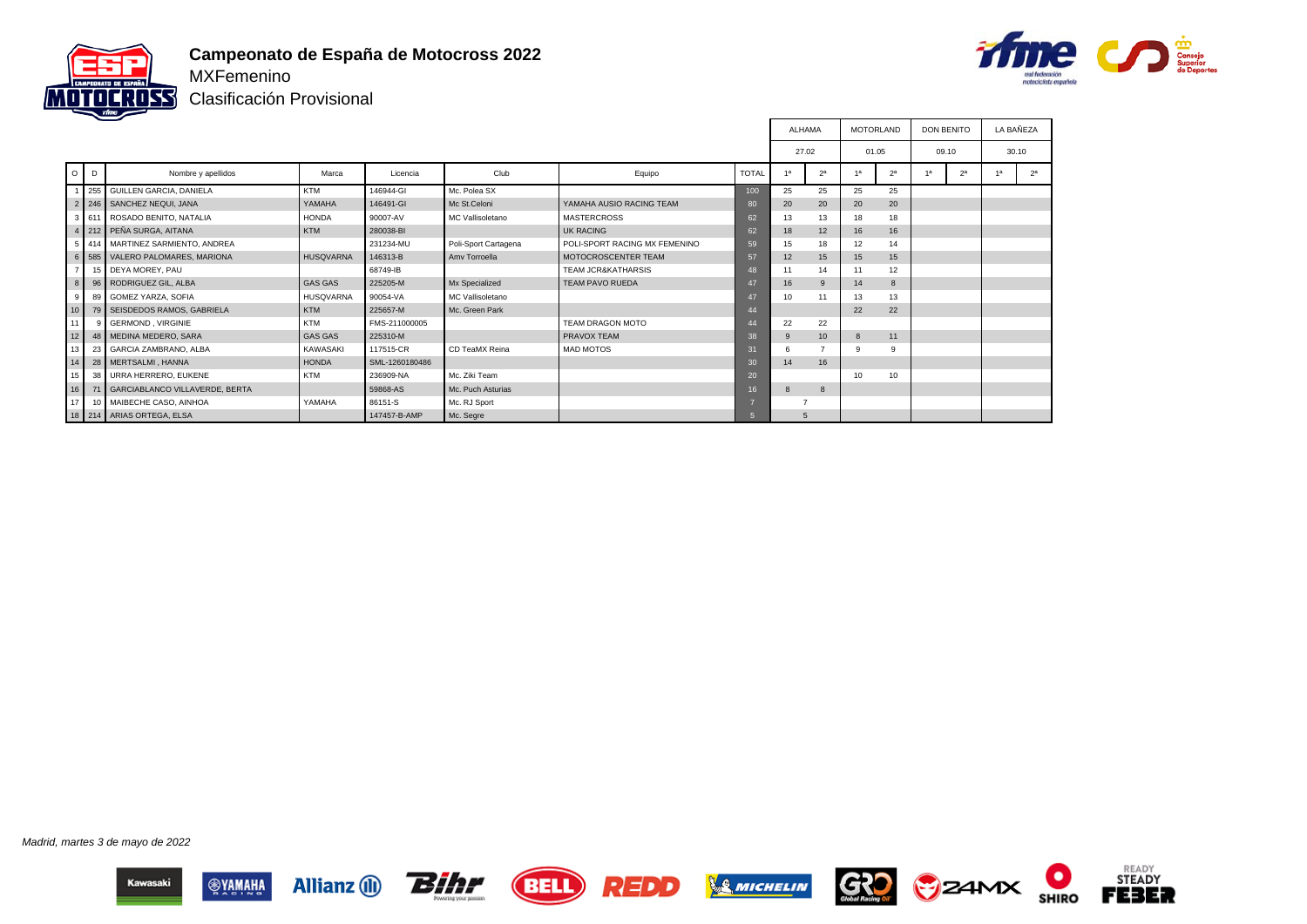



Clasificación Provisional

|                 |                |                                   |                  |                |                         |                               |              | ALHAMA |                | <b>MOTORLAND</b> |                 | <b>DON BENITO</b> |                | LA BAÑEZA      |
|-----------------|----------------|-----------------------------------|------------------|----------------|-------------------------|-------------------------------|--------------|--------|----------------|------------------|-----------------|-------------------|----------------|----------------|
|                 |                |                                   |                  |                |                         |                               |              | 27.02  |                | 01.05            |                 | 09.10             |                | 30.10          |
|                 | $O$ $D$        | Nombre y apellidos                | Marca            | Licencia       | Club                    | Equipo                        | <b>TOTAL</b> | 18     | 2 <sup>a</sup> | 4a               | 2 <sup>a</sup>  | 1 <sub>a</sub>    | 2 <sup>a</sup> | 2 <sup>a</sup> |
|                 |                | 255 GUILLEN GARCIA, DANIELA       | <b>KTM</b>       | 146944-GI      | Mc. Polea SX            |                               | 100          | 25     | 25             | 25               | 25              |                   |                |                |
|                 |                | 2 246 SANCHEZ NEQUI, JANA         | YAMAHA           | 146491-GI      | Mc St.Celoni            | YAMAHA AUSIO RACING TEAM      | 80           | 20     | 20             | 20               | 20              |                   |                |                |
|                 |                | 3 611 ROSADO BENITO, NATALIA      | <b>HONDA</b>     | 90007-AV       | <b>MC Vallisoletano</b> | <b>MASTERCROSS</b>            | 62           | 13     | 13             | 18               | 18              |                   |                |                |
|                 |                | 4 212 PEÑA SURGA, AITANA          | KTM              | 280038-BI      |                         | <b>UK RACING</b>              | 62           | 18     | 12             | 16               | 16              |                   |                |                |
|                 |                | 5 414 MARTINEZ SARMIENTO, ANDREA  |                  | 231234-MU      | Poli-Sport Cartagena    | POLI-SPORT RACING MX FEMENINO | 59           | 15     | 18             | 12               | 14              |                   |                |                |
|                 |                | 6 585 VALERO PALOMARES, MARIONA   | <b>HUSQVARNA</b> | 146313-B       | Amy Torroella           | <b>MOTOCROSCENTER TEAM</b>    | 57           | 12     | 15             | 15               | 15              |                   |                |                |
|                 | 7 <sup>1</sup> | 15 DEYA MOREY, PAU                |                  | 68749-IB       |                         | <b>TEAM JCR&amp;KATHARSIS</b> | 48           | 11     | 14             | 11               | 12              |                   |                |                |
|                 | 8 <sup>1</sup> | 96 RODRIGUEZ GIL, ALBA            | <b>GAS GAS</b>   | 225205-M       | Mx Specialized          | TEAM PAVO RUEDA               | 47           | 16     | 9              | 14               | $\mathbf{8}$    |                   |                |                |
|                 | 89<br>9        | <b>GOMEZ YARZA, SOFIA</b>         | HUSQVARNA        | 90054-VA       | MC Vallisoletano        |                               | 47           | 10     | 11             | 13               | 13              |                   |                |                |
| 10              |                | 79 SEISDEDOS RAMOS, GABRIELA      | KTM              | 225657-M       | Mc. Green Park          |                               | 44           |        |                | 22               | 22              |                   |                |                |
| 11 <sup>1</sup> |                | 9 GERMOND, VIRGINIE               | <b>KTM</b>       | FMS-211000005  |                         | TEAM DRAGON MOTO              | 44           | 22     | 22             |                  |                 |                   |                |                |
| 12              |                | 48 MEDINA MEDERO, SARA            | <b>GAS GAS</b>   | 225310-M       |                         | <b>PRAVOX TEAM</b>            | 38           |        | 10             | 8                | 11              |                   |                |                |
| 13              | 23             | <b>GARCIA ZAMBRANO, ALBA</b>      | KAWASAKI         | 117515-CR      | CD TeaMX Reina          | <b>MAD MOTOS</b>              | 31           |        |                | <b>q</b>         |                 |                   |                |                |
| 14              |                | 28 MERTSALMI, HANNA               | <b>HONDA</b>     | SML-1260180486 |                         |                               | 30           | 14     | 16             |                  |                 |                   |                |                |
| 15 <sup>1</sup> | 38             | URRA HERRERO, EUKENE              | KTM              | 236909-NA      | Mc. Ziki Team           |                               | 20           |        |                | 10               | 10 <sup>1</sup> |                   |                |                |
| 16              |                | 71 GARCIABLANCO VILLAVERDE, BERTA |                  | 59868-AS       | Mc. Puch Asturias       |                               | 16           |        | 8              |                  |                 |                   |                |                |
| 17 <sup>1</sup> |                | 10 MAIBECHE CASO, AINHOA          | YAMAHA           | 86151-S        | Mc. RJ Sport            |                               | v.           |        |                |                  |                 |                   |                |                |
|                 |                | 18   214   ARIAS ORTEGA, ELSA     |                  | 147457-B-AMP   | Mc. Segre               |                               | 5            | 5      |                |                  |                 |                   |                |                |

Madrid, martes 3 de mayo de 2022















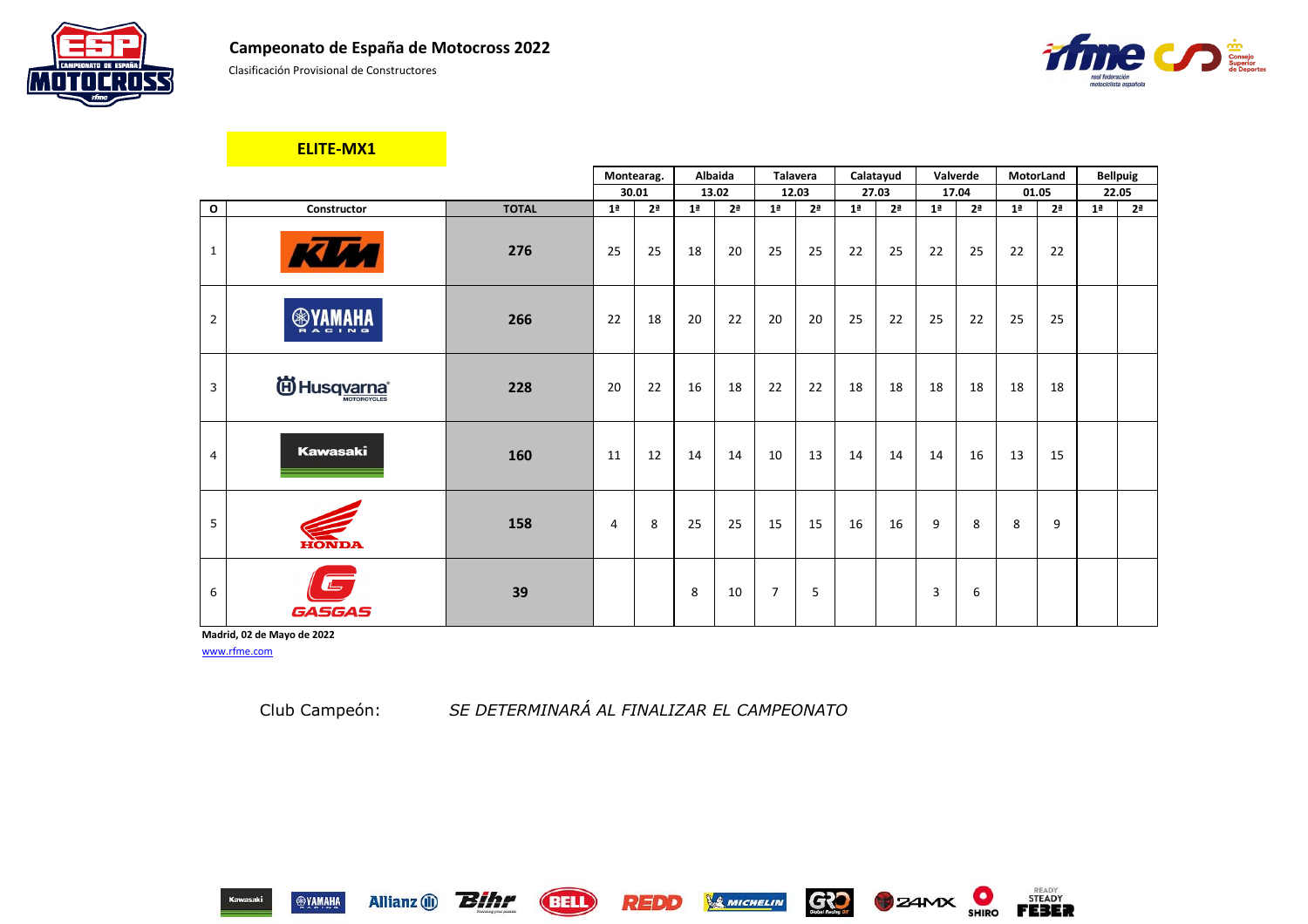

Clasificación Provisional de Constructores

|                |                                  |              |                | Montearag.     | Albaida        |                | <b>Talavera</b> |                | Calatayud      |                | Valverde       |                |                | <b>MotorLand</b> |                | <b>Bellpuig</b> |
|----------------|----------------------------------|--------------|----------------|----------------|----------------|----------------|-----------------|----------------|----------------|----------------|----------------|----------------|----------------|------------------|----------------|-----------------|
|                |                                  |              |                | 30.01          | 13.02          |                |                 | 12.03          | 27.03          |                |                | 17.04          |                | 01.05            | 22.05          |                 |
| $\mathbf{o}$   | Constructor                      | <b>TOTAL</b> | 1 <sup>a</sup> | 2 <sup>a</sup> | 1 <sup>a</sup> | 2 <sup>a</sup> | 1 <sup>a</sup>  | 2 <sup>a</sup> | 1 <sup>a</sup> | 2 <sup>a</sup> | 1 <sup>a</sup> | 2 <sup>a</sup> | 1 <sup>a</sup> | 2 <sup>a</sup>   | 1 <sup>a</sup> | 2 <sup>a</sup>  |
| $\mathbf{1}$   | <b>KUM</b>                       | 276          | 25             | 25             | 18             | 20             | 25              | 25             | 22             | 25             | 22             | 25             | 22             | 22               |                |                 |
| $\overline{2}$ | <b>ANAMAYS</b>                   | 266          | 22             | 18             | 20             | 22             | 20              | 20             | 25             | 22             | 25             | 22             | 25             | 25               |                |                 |
| 3              | id Husq <u>varna</u> ®           | 228          | 20             | 22             | 16             | 18             | 22              | 22             | 18             | 18             | 18             | 18             | 18             | 18               |                |                 |
| $\overline{4}$ | <b>Kawasaki</b>                  | 160          | 11             | 12             | 14             | 14             | 10              | 13             | 14             | 14             | 14             | 16             | 13             | 15               |                |                 |
| 5              | <b>HONDA</b>                     | 158          | $\overline{4}$ | 8              | 25             | 25             | 15              | 15             | 16             | 16             | 9              | 8              | 8              | 9                |                |                 |
| 6              | $\qquad \qquad$<br><b>GASGAS</b> | 39           |                |                | 8              | 10             | $\overline{7}$  | 5              |                |                | 3              | 6              |                |                  |                |                 |

**Madrid, 02 de Mayo de 2022** [www.rfme.com](http://www.rfme.com/)

Allianz (i) **Bihr** 

**ELITE-MX1**

Club Campeón: *SE DETERMINARÁ AL FINALIZAR EL CAMPEONATO*

REDD

**(BELL)** 









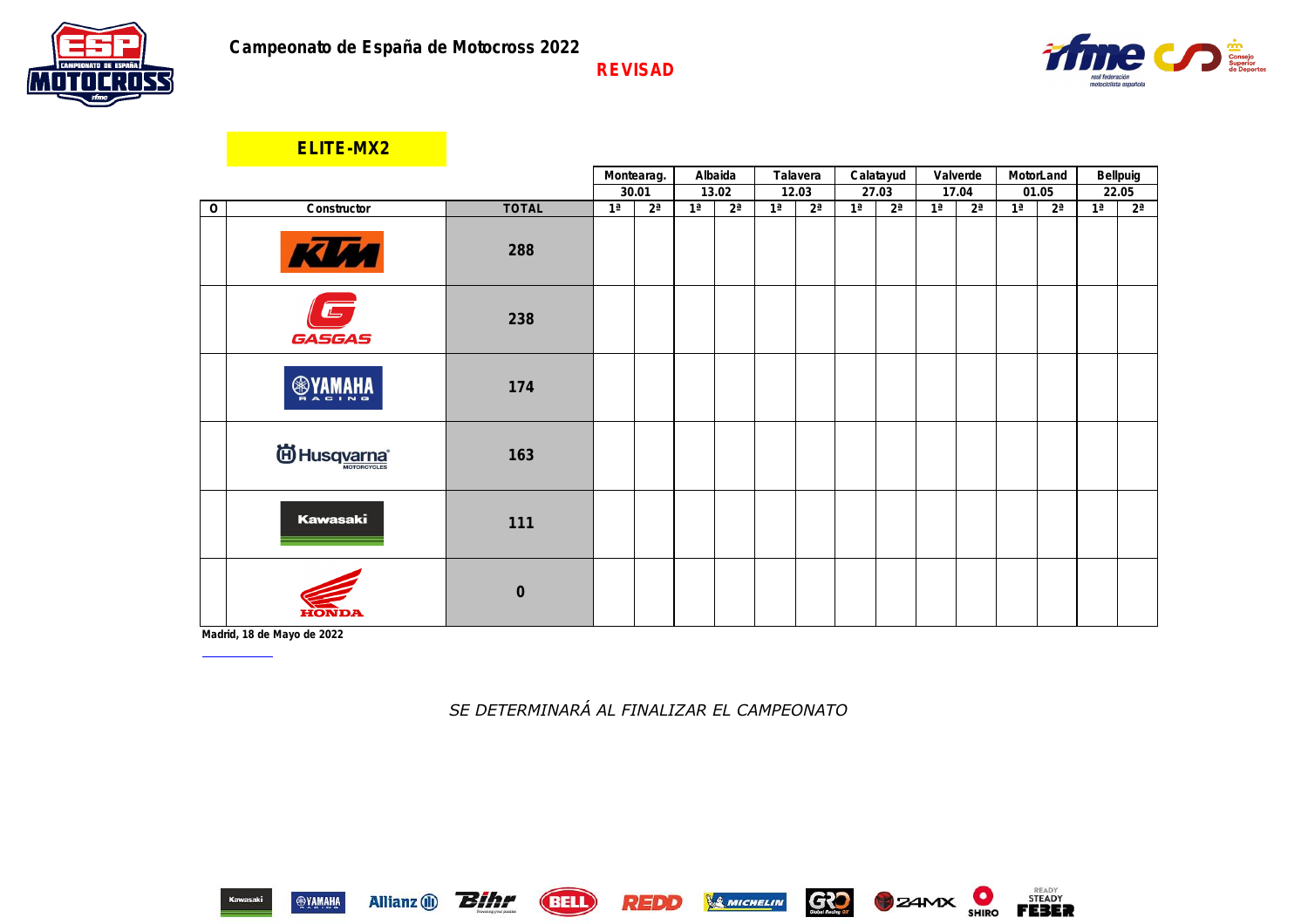

|                |                                          |              | Montearag.     |       | Albaida        |       | Talavera       |       | Calatayud      |       | Valverde       |                | MotorLand      |       | Bellpuig       |       |
|----------------|------------------------------------------|--------------|----------------|-------|----------------|-------|----------------|-------|----------------|-------|----------------|----------------|----------------|-------|----------------|-------|
|                |                                          |              | 30.01          |       | 13.02          |       | 12.03          |       | 27.03          |       | 17.04          |                | 01.05          |       | 22.05          |       |
| $\overline{0}$ | Constructor                              | <b>TOTAL</b> | 1 <sup>a</sup> | $2^a$ | 1 <sup>a</sup> | $2^a$ | 1 <sup>a</sup> | $2^a$ | 1 <sup>a</sup> | $2^a$ | 1 <sup>a</sup> | $2^a$          | 1 <sup>a</sup> | $2^a$ | 1 <sup>a</sup> | $2^a$ |
| $\mathbf{1}$   | KIM                                      | 288          | 25             | 25    | 25             | 25    | 25             | 25    | 25             | 22    | 25             | 22             | 22             | 22    |                |       |
| 2              | $\overline{\mathbb{L}}$<br><b>GASGAS</b> | 238          | 20             | 22    | 18             | 16    | 15             | 14    | 20             | 25    | 18             | 20             | 25             | 25    |                |       |
| $\mathfrak{S}$ | <b>SAWAHA</b>                            | 174          | 15             | 16    | 22             | 20    | 20             | 16    | 15             | 14    | 15             | $\overline{4}$ | 14             | 3     |                |       |
| 4              | id Husq <u>varna</u> ®                   | 163          | 18             | 8     | 12             |       | 9              | 8     | 16             | 18    | 16             | 25             | 15             | 18    |                |       |
| 5              | <b>Kawasaki</b>                          | 111          | 11             | 11    | 15             | 12    | 8              | 10    | 6              | 9     | 5              | 12             | $\overline{4}$ | 8     |                |       |
| 6              | ЕОЛОР                                    | $\sqrt{0}$   |                |       |                |       |                |       |                |       |                |                |                |       |                |       |

**Madrid, 18 de Mayo de 2022** www.rfme.com

Allianz (1) **Bihr** 

**ELITE-MX2**

Club Campeón: *SE DETERMINARÁ AL FINALIZAR EL CAMPEONATO*





**BELL** 









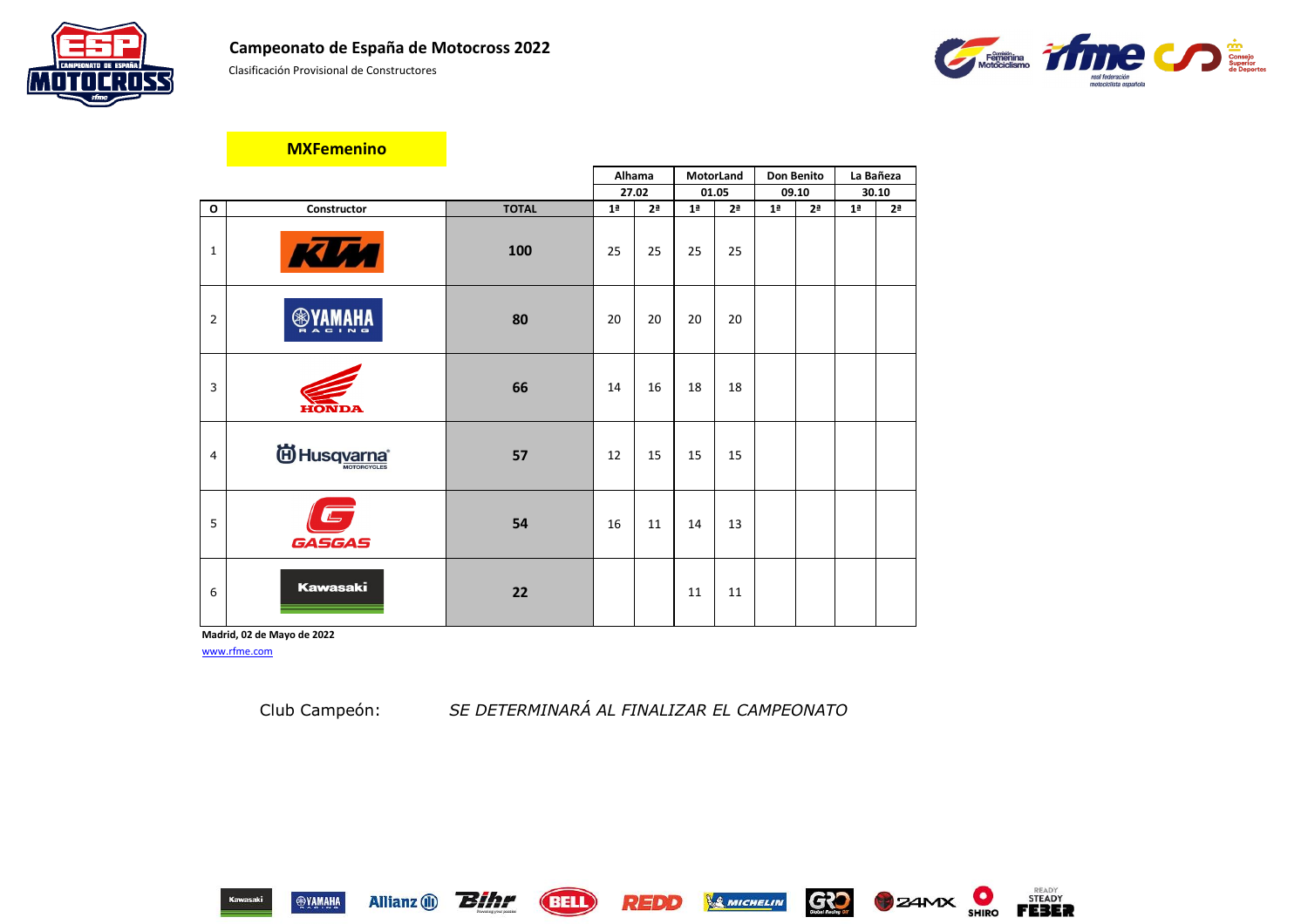



|                |                 |              | Alhama         |                | MotorLand      |                |                | <b>Don Benito</b> | La Bañeza      |                |
|----------------|-----------------|--------------|----------------|----------------|----------------|----------------|----------------|-------------------|----------------|----------------|
|                |                 |              |                | 27.02          | 01.05          |                |                | 09.10             | 30.10          |                |
| $\mathbf{o}$   | Constructor     | <b>TOTAL</b> | 1 <sup>a</sup> | 2 <sup>a</sup> | 1 <sup>a</sup> | 2 <sup>a</sup> | 1 <sup>a</sup> | 2 <sup>a</sup>    | 1 <sup>a</sup> | 2 <sup>a</sup> |
| $\mathbf{1}$   | <b>KUM</b>      | 100          | 25             | 25             | 25             | 25             |                |                   |                |                |
| $\overline{2}$ | ❀               | 80           | 20             | 20             | 20             | 20             |                |                   |                |                |
| 3              | <b>HONDA</b>    | 66           | 14             | 16             | 18             | 18             |                |                   |                |                |
| 4              | ig Husqvarna®   | 57           | 12             | 15             | 15             | 15             |                |                   |                |                |
| 5              | <b>GASGAS</b>   | 54           | 16             | 11             | 14             | 13             |                |                   |                |                |
| 6              | <b>Kawasaki</b> | 22           |                |                | 11             | 11             |                |                   |                |                |

**Madrid, 02 de Mayo de 2022** [www.rfme.com](http://www.rfme.com/)

Allianz (i) **Bihr** 

Club Campeón: *SE DETERMINARÁ AL FINALIZAR EL CAMPEONATO*















### **MXFemenino**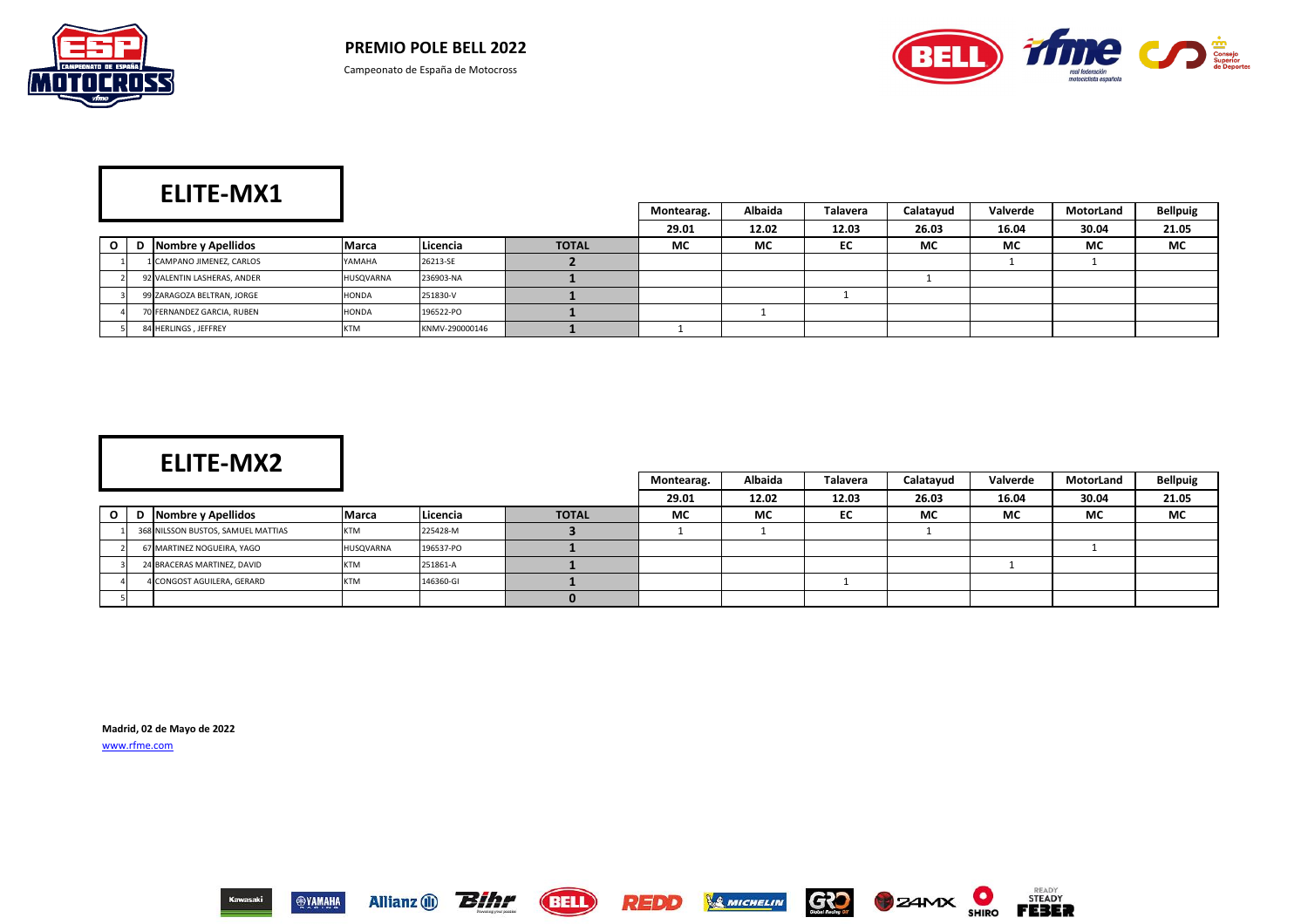



|          | ____                        |            |                |              | Montearag. | <b>Albaida</b> | <b>Talavera</b> | Calatayud | Valverde  | MotorLand | <b>Bellpuig</b> |
|----------|-----------------------------|------------|----------------|--------------|------------|----------------|-----------------|-----------|-----------|-----------|-----------------|
|          |                             |            |                |              | 29.01      | 12.02          | 12.03           | 26.03     | 16.04     | 30.04     | 21.05           |
| $\Omega$ | D Nombre y Apellidos        | Marca      | Licencia       | <b>TOTAL</b> | <b>MC</b>  | <b>MC</b>      | EC              | <b>MC</b> | <b>MC</b> | <b>MC</b> | <b>MC</b>       |
|          | 1 CAMPANO JIMENEZ, CARLOS   | YAMAHA     | 26213-SE       |              |            |                |                 |           |           |           |                 |
|          | 92 VALENTIN LASHERAS, ANDER | HUSQVARNA  | 236903-NA      |              |            |                |                 |           |           |           |                 |
|          | 99 ZARAGOZA BELTRAN, JORGE  | HONDA      | 251830-V       |              |            |                |                 |           |           |           |                 |
|          | 70 FERNANDEZ GARCIA, RUBEN  | HONDA      | 196522-PO      |              |            |                |                 |           |           |           |                 |
|          | 84 HERLINGS, JEFFREY        | <b>KTM</b> | KNMV-290000146 |              |            |                |                 |           |           |           |                 |

|   | ___                                |              |           |              | Montearag. | Albaida   | <b>Talavera</b> | Calatayud | Valverde  | <b>MotorLand</b> | <b>Bellpuig</b> |
|---|------------------------------------|--------------|-----------|--------------|------------|-----------|-----------------|-----------|-----------|------------------|-----------------|
|   |                                    |              |           |              | 29.01      | 12.02     | 12.03           | 26.03     | 16.04     | 30.04            | 21.05           |
| 0 | Nombre y Apellidos                 | <b>Marca</b> | Licencia  | <b>TOTAL</b> | <b>MC</b>  | <b>MC</b> | EC              | <b>MC</b> | <b>MC</b> | <b>MC</b>        | <b>MC</b>       |
|   | 368 NILSSON BUSTOS, SAMUEL MATTIAS | <b>KTM</b>   | 225428-M  |              |            |           |                 |           |           |                  |                 |
|   | 67 MARTINEZ NOGUEIRA, YAGO         | HUSQVARNA    | 196537-PO |              |            |           |                 |           |           |                  |                 |
|   | 24 BRACERAS MARTINEZ, DAVID        | <b>KTM</b>   | 251861-A  |              |            |           |                 |           |           |                  |                 |
|   | 4 CONGOST AGUILERA, GERARD         | <b>KTM</b>   | 146360-GI |              |            |           |                 |           |           |                  |                 |
|   |                                    |              |           |              |            |           |                 |           |           |                  |                 |

**Madrid, 02 de Mayo de 2022** [www.rfme.com](http://www.rfme.com/)

















# **ELITE-MX2**

## **ELITE-MX1**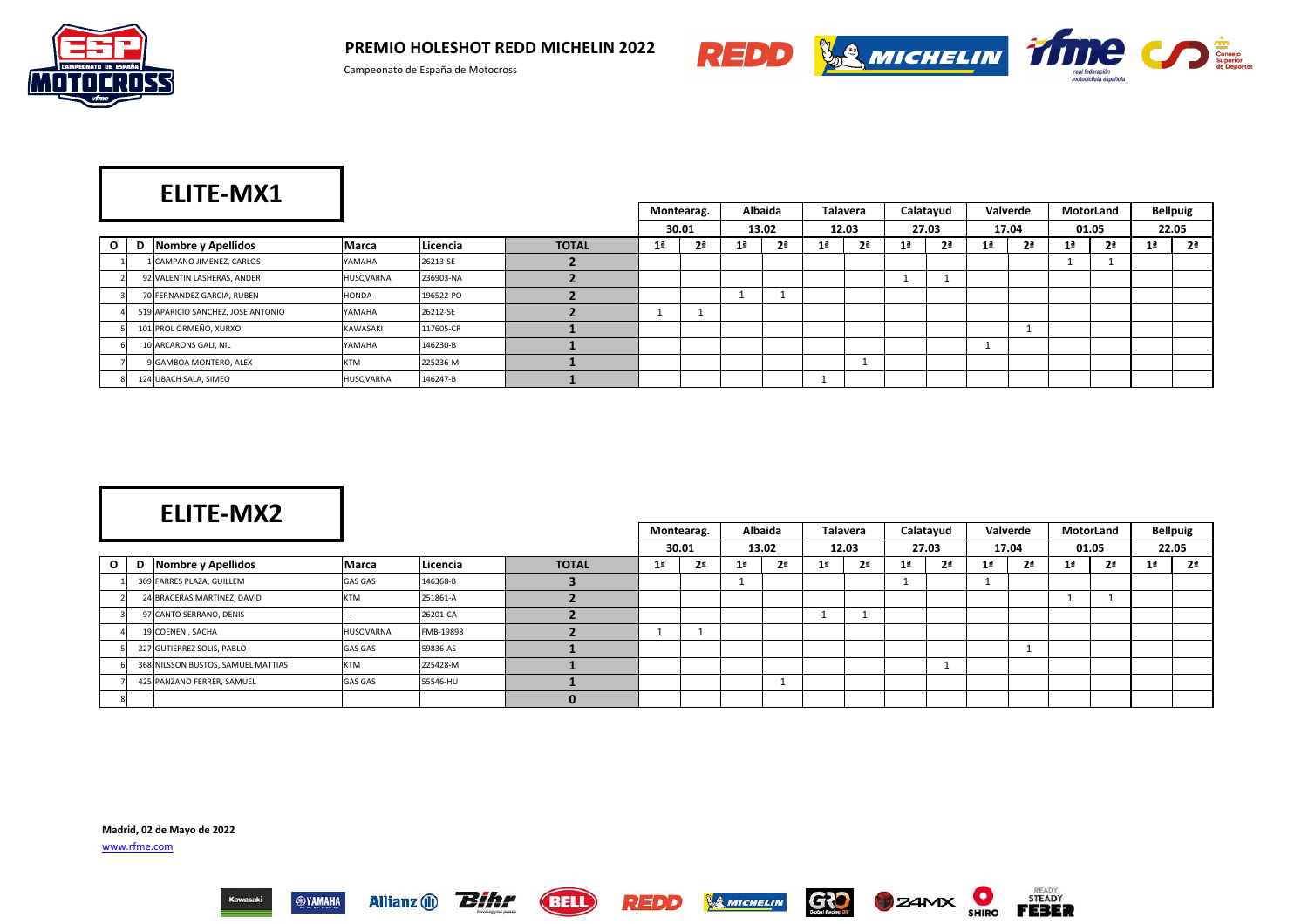

**PREMIO HOLESHOT REDD MICHELIN 2022**



Allianz (i) **Bihr** 

**SYAMAHA** 

**(BELL)** 



|              |                                    |              |           |              |                | Montearag.     |     | <b>Albaida</b> |     | <b>Talavera</b> |                | Calatayud      |                | Valverde       |                | MotorLand      |                | <b>Bellpuig</b> |
|--------------|------------------------------------|--------------|-----------|--------------|----------------|----------------|-----|----------------|-----|-----------------|----------------|----------------|----------------|----------------|----------------|----------------|----------------|-----------------|
|              |                                    |              |           |              |                | 30.01          |     | 13.02          |     | 12.03           |                | 27.03          |                | 17.04          |                | 01.05          |                | 22.05           |
| $\mathsf{o}$ | <b>D</b> Nombre y Apellidos        | <b>Marca</b> | Licencia  | <b>TOTAL</b> | 1 <sup>a</sup> | 2 <sup>a</sup> | Ι÷. | 2 <sup>a</sup> | Ι÷. | 2 <sup>a</sup>  | 1 <sup>a</sup> | 2 <sup>a</sup> | 1 <sup>a</sup> | 2 <sup>a</sup> | 1 <sup>a</sup> | 2 <sup>a</sup> | 1 <sup>a</sup> | 2 <sup>a</sup>  |
|              | 1 CAMPANO JIMENEZ, CARLOS          | YAMAHA       | 26213-SE  |              |                |                |     |                |     |                 |                |                |                |                |                |                |                |                 |
|              | 92 VALENTIN LASHERAS, ANDER        | HUSQVARNA    | 236903-NA |              |                |                |     |                |     |                 |                |                |                |                |                |                |                |                 |
|              | 70 FERNANDEZ GARCIA, RUBEN         | HONDA        | 196522-PO |              |                |                |     |                |     |                 |                |                |                |                |                |                |                |                 |
|              | 519 APARICIO SANCHEZ, JOSE ANTONIO | YAMAHA       | 26212-SE  |              |                |                |     |                |     |                 |                |                |                |                |                |                |                |                 |
|              | 101 PROL ORMEÑO, XURXO             | KAWASAKI     | 117605-CR |              |                |                |     |                |     |                 |                |                |                |                |                |                |                |                 |
|              | 10 ARCARONS GALI, NIL              | YAMAHA       | 146230-B  |              |                |                |     |                |     |                 |                |                |                |                |                |                |                |                 |
|              | 9 GAMBOA MONTERO, ALEX             | <b>KTM</b>   | 225236-M  |              |                |                |     |                |     |                 |                |                |                |                |                |                |                |                 |
|              | 124 UBACH SALA, SIMEO              | HUSQVARNA    | 146247-B  |              |                |                |     |                |     |                 |                |                |                |                |                |                |                |                 |

|              | ___                                |                |           |              |                | Montearag.     |                | <b>Albaida</b> |                | <b>Talavera</b> |                | Calatayud      |                | Valverde       |                | MotorLand      |                | <b>Bellpuig</b> |
|--------------|------------------------------------|----------------|-----------|--------------|----------------|----------------|----------------|----------------|----------------|-----------------|----------------|----------------|----------------|----------------|----------------|----------------|----------------|-----------------|
|              |                                    |                |           |              |                | 30.01          |                | 13.02          |                | 12.03           |                | 27.03          |                | 17.04          |                | 01.05          |                | 22.05           |
| $\mathsf{o}$ | Nombre y Apellidos                 | <b>Marca</b>   | Licencia  | <b>TOTAL</b> | 1 <sup>a</sup> | 2 <sup>a</sup> | 1 <sup>a</sup> | 2 <sup>a</sup> | 1 <sup>a</sup> | 2 <sup>a</sup>  | 1 <sup>a</sup> | 2 <sup>a</sup> | 1 <sup>a</sup> | 2 <sup>a</sup> | 1 <sup>a</sup> | 2 <sup>a</sup> | 1 <sup>a</sup> | 2 <sup>a</sup>  |
|              | 309 FARRES PLAZA, GUILLEM          | <b>GAS GAS</b> | 146368-B  |              |                |                |                |                |                |                 |                |                |                |                |                |                |                |                 |
|              | 24 BRACERAS MARTINEZ, DAVID        | <b>KTM</b>     | 251861-A  |              |                |                |                |                |                |                 |                |                |                |                |                |                |                |                 |
|              | 97 CANTO SERRANO, DENIS            |                | 26201-CA  |              |                |                |                |                |                |                 |                |                |                |                |                |                |                |                 |
|              | 19 COENEN, SACHA                   | HUSQVARNA      | FMB-19898 |              |                |                |                |                |                |                 |                |                |                |                |                |                |                |                 |
|              | 227 GUTIERREZ SOLIS, PABLO         | <b>GAS GAS</b> | 59836-AS  |              |                |                |                |                |                |                 |                |                |                |                |                |                |                |                 |
|              | 368 NILSSON BUSTOS, SAMUEL MATTIAS | <b>KTM</b>     | 225428-M  |              |                |                |                |                |                |                 |                |                |                |                |                |                |                |                 |
|              | 425 PANZANO FERRER, SAMUEL         | <b>GAS GAS</b> | 55546-HU  |              |                |                |                |                |                |                 |                |                |                |                |                |                |                |                 |
|              |                                    |                |           |              |                |                |                |                |                |                 |                |                |                |                |                |                |                |                 |

REDD

**Madrid, 02 de Mayo de 2022** [www.rfme.com](http://www.rfme.com/)





**B** ZAMX

GRO

**SMICHELIN** 

## **ELITE-MX2**

# **ELITE-MX1**